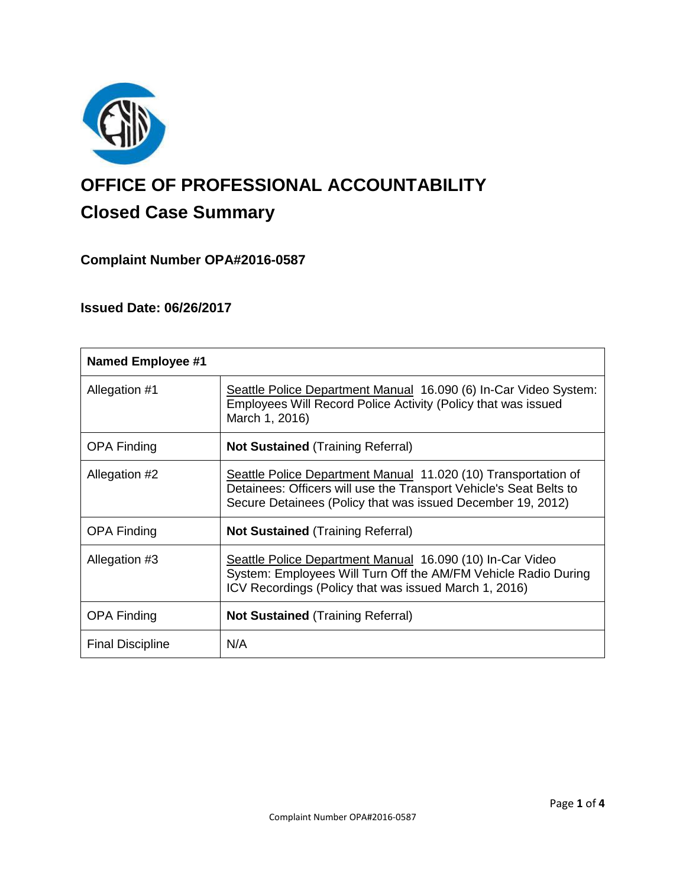

# **OFFICE OF PROFESSIONAL ACCOUNTABILITY Closed Case Summary**

## **Complaint Number OPA#2016-0587**

## **Issued Date: 06/26/2017**

| <b>Named Employee #1</b> |                                                                                                                                                                                                     |
|--------------------------|-----------------------------------------------------------------------------------------------------------------------------------------------------------------------------------------------------|
| Allegation #1            | Seattle Police Department Manual 16.090 (6) In-Car Video System:<br>Employees Will Record Police Activity (Policy that was issued<br>March 1, 2016)                                                 |
| <b>OPA Finding</b>       | <b>Not Sustained (Training Referral)</b>                                                                                                                                                            |
| Allegation #2            | Seattle Police Department Manual 11.020 (10) Transportation of<br>Detainees: Officers will use the Transport Vehicle's Seat Belts to<br>Secure Detainees (Policy that was issued December 19, 2012) |
| <b>OPA Finding</b>       | <b>Not Sustained (Training Referral)</b>                                                                                                                                                            |
| Allegation #3            | Seattle Police Department Manual 16.090 (10) In-Car Video<br>System: Employees Will Turn Off the AM/FM Vehicle Radio During<br>ICV Recordings (Policy that was issued March 1, 2016)                |
| <b>OPA Finding</b>       | <b>Not Sustained (Training Referral)</b>                                                                                                                                                            |
| <b>Final Discipline</b>  | N/A                                                                                                                                                                                                 |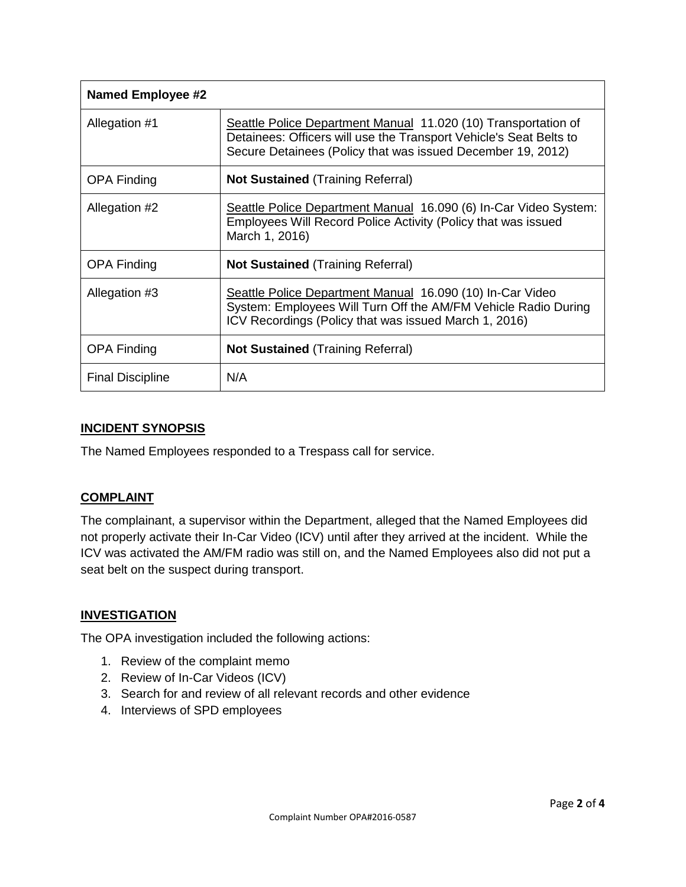| <b>Named Employee #2</b> |                                                                                                                                                                                                     |
|--------------------------|-----------------------------------------------------------------------------------------------------------------------------------------------------------------------------------------------------|
| Allegation #1            | Seattle Police Department Manual 11.020 (10) Transportation of<br>Detainees: Officers will use the Transport Vehicle's Seat Belts to<br>Secure Detainees (Policy that was issued December 19, 2012) |
| <b>OPA Finding</b>       | <b>Not Sustained (Training Referral)</b>                                                                                                                                                            |
| Allegation #2            | Seattle Police Department Manual 16.090 (6) In-Car Video System:<br>Employees Will Record Police Activity (Policy that was issued<br>March 1, 2016)                                                 |
| <b>OPA Finding</b>       | <b>Not Sustained (Training Referral)</b>                                                                                                                                                            |
| Allegation #3            | Seattle Police Department Manual 16.090 (10) In-Car Video<br>System: Employees Will Turn Off the AM/FM Vehicle Radio During<br>ICV Recordings (Policy that was issued March 1, 2016)                |
| <b>OPA Finding</b>       | <b>Not Sustained (Training Referral)</b>                                                                                                                                                            |
| <b>Final Discipline</b>  | N/A                                                                                                                                                                                                 |

## **INCIDENT SYNOPSIS**

The Named Employees responded to a Trespass call for service.

#### **COMPLAINT**

The complainant, a supervisor within the Department, alleged that the Named Employees did not properly activate their In-Car Video (ICV) until after they arrived at the incident. While the ICV was activated the AM/FM radio was still on, and the Named Employees also did not put a seat belt on the suspect during transport.

## **INVESTIGATION**

The OPA investigation included the following actions:

- 1. Review of the complaint memo
- 2. Review of In-Car Videos (ICV)
- 3. Search for and review of all relevant records and other evidence
- 4. Interviews of SPD employees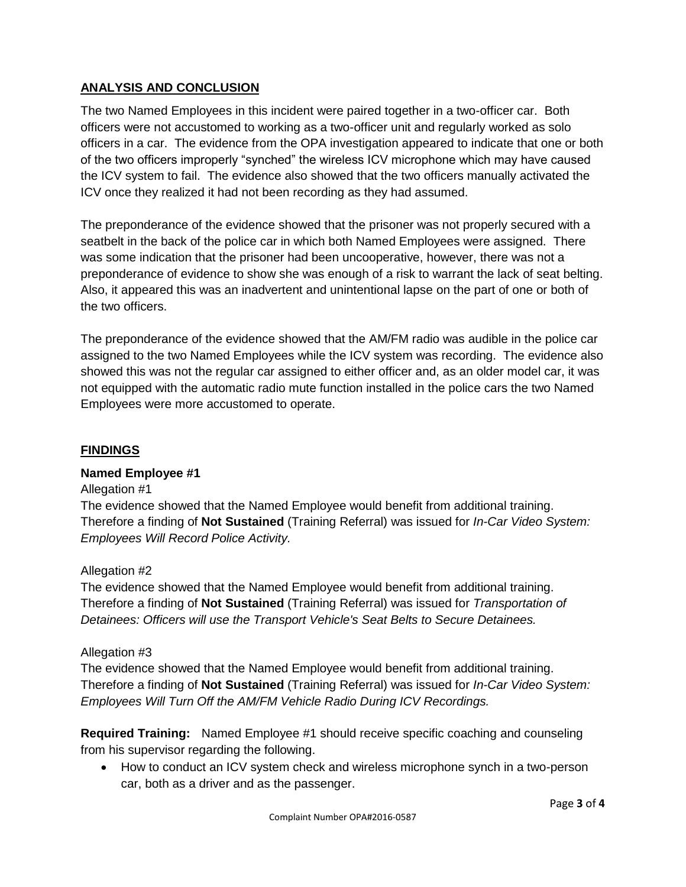## **ANALYSIS AND CONCLUSION**

The two Named Employees in this incident were paired together in a two-officer car. Both officers were not accustomed to working as a two-officer unit and regularly worked as solo officers in a car. The evidence from the OPA investigation appeared to indicate that one or both of the two officers improperly "synched" the wireless ICV microphone which may have caused the ICV system to fail. The evidence also showed that the two officers manually activated the ICV once they realized it had not been recording as they had assumed.

The preponderance of the evidence showed that the prisoner was not properly secured with a seatbelt in the back of the police car in which both Named Employees were assigned. There was some indication that the prisoner had been uncooperative, however, there was not a preponderance of evidence to show she was enough of a risk to warrant the lack of seat belting. Also, it appeared this was an inadvertent and unintentional lapse on the part of one or both of the two officers.

The preponderance of the evidence showed that the AM/FM radio was audible in the police car assigned to the two Named Employees while the ICV system was recording. The evidence also showed this was not the regular car assigned to either officer and, as an older model car, it was not equipped with the automatic radio mute function installed in the police cars the two Named Employees were more accustomed to operate.

## **FINDINGS**

## **Named Employee #1**

#### Allegation #1

The evidence showed that the Named Employee would benefit from additional training. Therefore a finding of **Not Sustained** (Training Referral) was issued for *In-Car Video System: Employees Will Record Police Activity.*

#### Allegation #2

The evidence showed that the Named Employee would benefit from additional training. Therefore a finding of **Not Sustained** (Training Referral) was issued for *Transportation of Detainees: Officers will use the Transport Vehicle's Seat Belts to Secure Detainees.*

#### Allegation #3

The evidence showed that the Named Employee would benefit from additional training. Therefore a finding of **Not Sustained** (Training Referral) was issued for *In-Car Video System: Employees Will Turn Off the AM/FM Vehicle Radio During ICV Recordings.*

**Required Training:** Named Employee #1 should receive specific coaching and counseling from his supervisor regarding the following.

 How to conduct an ICV system check and wireless microphone synch in a two-person car, both as a driver and as the passenger.